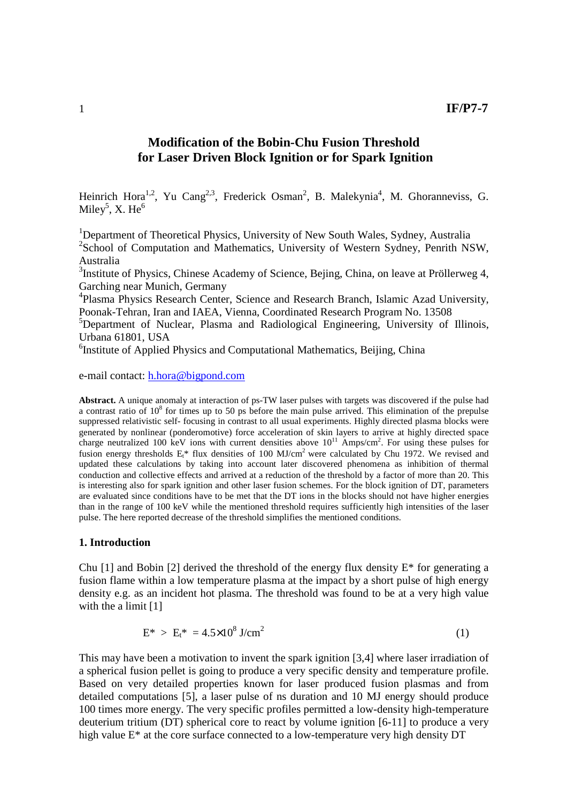# **Modification of the Bobin-Chu Fusion Threshold for Laser Driven Block Ignition or for Spark Ignition**

Heinrich Hora<sup>1,2</sup>, Yu Cang<sup>2,3</sup>, Frederick Osman<sup>2</sup>, B. Malekynia<sup>4</sup>, M. Ghoranneviss, G. Miley $^5$ , X. He $^6$ 

<sup>1</sup>Department of Theoretical Physics, University of New South Wales, Sydney, Australia <sup>2</sup>School of Computation and Mathematics, University of Western Sydney, Penrith NSW, Australia

<sup>3</sup>Institute of Physics, Chinese Academy of Science, Bejing, China, on leave at Pröllerweg 4, Garching near Munich, Germany

4 Plasma Physics Research Center, Science and Research Branch, Islamic Azad University, Poonak-Tehran, Iran and IAEA, Vienna, Coordinated Research Program No. 13508

<sup>5</sup>Department of Nuclear, Plasma and Radiological Engineering, University of Illinois, Urbana 61801, USA

<sup>6</sup>Institute of Applied Physics and Computational Mathematics, Beijing, China

e-mail contact: h.hora@bigpond.com

**Abstract.** A unique anomaly at interaction of ps-TW laser pulses with targets was discovered if the pulse had a contrast ratio of  $10^8$  for times up to 50 ps before the main pulse arrived. This elimination of the prepulse suppressed relativistic self- focusing in contrast to all usual experiments. Highly directed plasma blocks were generated by nonlinear (ponderomotive) force acceleration of skin layers to arrive at highly directed space charge neutralized 100 keV ions with current densities above  $10^{11}$  Amps/cm<sup>2</sup>. For using these pulses for fusion energy thresholds  $E_t^*$  flux densities of 100 MJ/cm<sup>2</sup> were calculated by Chu 1972. We revised and updated these calculations by taking into account later discovered phenomena as inhibition of thermal conduction and collective effects and arrived at a reduction of the threshold by a factor of more than 20. This is interesting also for spark ignition and other laser fusion schemes. For the block ignition of DT, parameters are evaluated since conditions have to be met that the DT ions in the blocks should not have higher energies than in the range of 100 keV while the mentioned threshold requires sufficiently high intensities of the laser pulse. The here reported decrease of the threshold simplifies the mentioned conditions.

#### **1. Introduction**

Chu  $[1]$  and Bobin  $[2]$  derived the threshold of the energy flux density  $E^*$  for generating a fusion flame within a low temperature plasma at the impact by a short pulse of high energy density e.g. as an incident hot plasma. The threshold was found to be at a very high value with the a limit [1]

$$
E^* > E_t^* = 4.5 \times 10^8 \text{ J/cm}^2 \tag{1}
$$

This may have been a motivation to invent the spark ignition [3,4] where laser irradiation of a spherical fusion pellet is going to produce a very specific density and temperature profile. Based on very detailed properties known for laser produced fusion plasmas and from detailed computations [5], a laser pulse of ns duration and 10 MJ energy should produce 100 times more energy. The very specific profiles permitted a low-density high-temperature deuterium tritium (DT) spherical core to react by volume ignition [6-11] to produce a very high value E\* at the core surface connected to a low-temperature very high density DT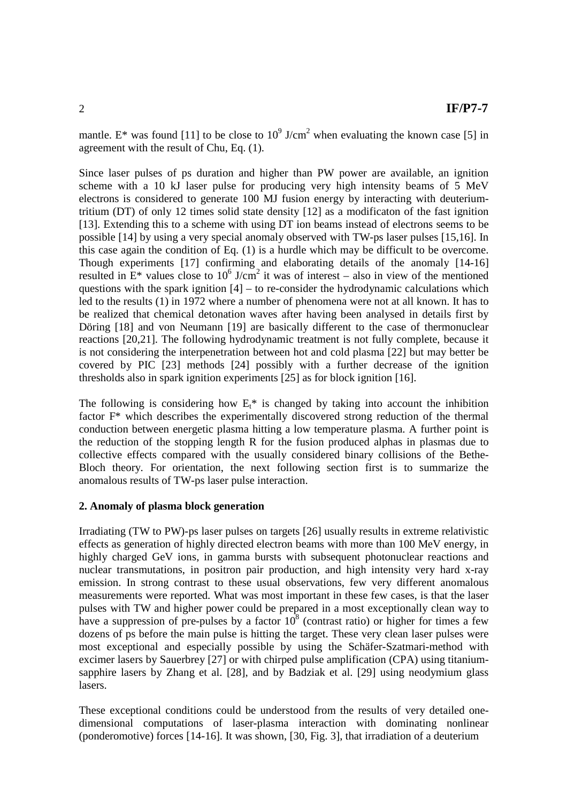mantle. E<sup>\*</sup> was found [11] to be close to  $10^9$  J/cm<sup>2</sup> when evaluating the known case [5] in agreement with the result of Chu, Eq. (1).

Since laser pulses of ps duration and higher than PW power are available, an ignition scheme with a 10 kJ laser pulse for producing very high intensity beams of 5 MeV electrons is considered to generate 100 MJ fusion energy by interacting with deuteriumtritium (DT) of only 12 times solid state density [12] as a modificaton of the fast ignition [13]. Extending this to a scheme with using DT ion beams instead of electrons seems to be possible [14] by using a very special anomaly observed with TW-ps laser pulses [15,16]. In this case again the condition of Eq. (1) is a hurdle which may be difficult to be overcome. Though experiments [17] confirming and elaborating details of the anomaly [14-16] resulted in  $E^*$  values close to 10<sup>6</sup> J/cm<sup>2</sup> it was of interest – also in view of the mentioned questions with the spark ignition  $[4]$  – to re-consider the hydrodynamic calculations which led to the results (1) in 1972 where a number of phenomena were not at all known. It has to be realized that chemical detonation waves after having been analysed in details first by Döring [18] and von Neumann [19] are basically different to the case of thermonuclear reactions [20,21]. The following hydrodynamic treatment is not fully complete, because it is not considering the interpenetration between hot and cold plasma [22] but may better be covered by PIC [23] methods [24] possibly with a further decrease of the ignition thresholds also in spark ignition experiments [25] as for block ignition [16].

The following is considering how  $E_t^*$  is changed by taking into account the inhibition factor F\* which describes the experimentally discovered strong reduction of the thermal conduction between energetic plasma hitting a low temperature plasma. A further point is the reduction of the stopping length R for the fusion produced alphas in plasmas due to collective effects compared with the usually considered binary collisions of the Bethe-Bloch theory. For orientation, the next following section first is to summarize the anomalous results of TW-ps laser pulse interaction.

## **2. Anomaly of plasma block generation**

Irradiating (TW to PW)-ps laser pulses on targets [26] usually results in extreme relativistic effects as generation of highly directed electron beams with more than 100 MeV energy, in highly charged GeV ions, in gamma bursts with subsequent photonuclear reactions and nuclear transmutations, in positron pair production, and high intensity very hard x-ray emission. In strong contrast to these usual observations, few very different anomalous measurements were reported. What was most important in these few cases, is that the laser pulses with TW and higher power could be prepared in a most exceptionally clean way to have a suppression of pre-pulses by a factor  $10^8$  (contrast ratio) or higher for times a few dozens of ps before the main pulse is hitting the target. These very clean laser pulses were most exceptional and especially possible by using the Schäfer-Szatmari-method with excimer lasers by Sauerbrey [27] or with chirped pulse amplification (CPA) using titaniumsapphire lasers by Zhang et al. [28], and by Badziak et al. [29] using neodymium glass lasers.

These exceptional conditions could be understood from the results of very detailed onedimensional computations of laser-plasma interaction with dominating nonlinear (ponderomotive) forces [14-16]. It was shown, [30, Fig. 3], that irradiation of a deuterium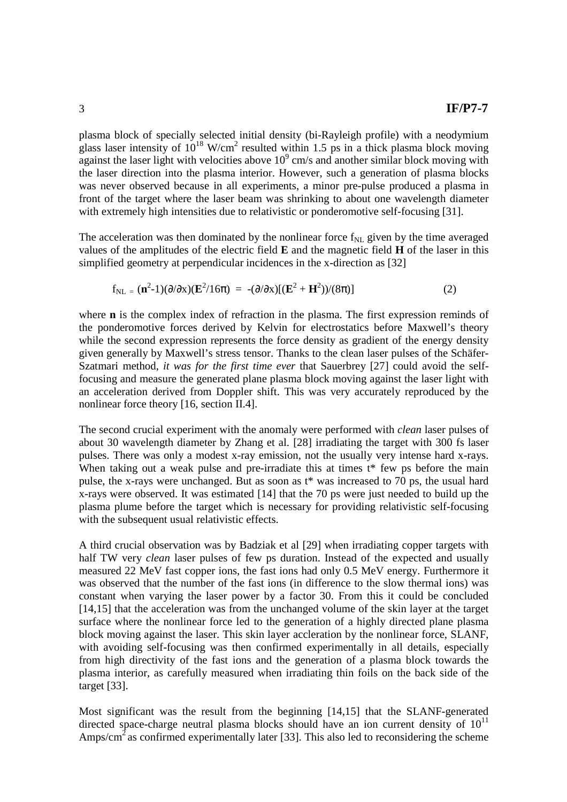plasma block of specially selected initial density (bi-Rayleigh profile) with a neodymium glass laser intensity of  $10^{18}$  W/cm<sup>2</sup> resulted within 1.5 ps in a thick plasma block moving against the laser light with velocities above  $10^9$  cm/s and another similar block moving with the laser direction into the plasma interior. However, such a generation of plasma blocks was never observed because in all experiments, a minor pre-pulse produced a plasma in front of the target where the laser beam was shrinking to about one wavelength diameter with extremely high intensities due to relativistic or ponderomotive self-focusing [31].

The acceleration was then dominated by the nonlinear force  $f_{NL}$  given by the time averaged values of the amplitudes of the electric field **E** and the magnetic field **H** of the laser in this simplified geometry at perpendicular incidences in the x-direction as [32]

$$
f_{\text{NL}} = (\mathbf{n}^2 - 1)(\partial/\partial x)(\mathbf{E}^2/16\pi) = -(\partial/\partial x)[(\mathbf{E}^2 + \mathbf{H}^2))/(8\pi)]
$$
 (2)

where **n** is the complex index of refraction in the plasma. The first expression reminds of the ponderomotive forces derived by Kelvin for electrostatics before Maxwell's theory while the second expression represents the force density as gradient of the energy density given generally by Maxwell's stress tensor. Thanks to the clean laser pulses of the Schäfer-Szatmari method, *it was for the first time ever* that Sauerbrey [27] could avoid the selffocusing and measure the generated plane plasma block moving against the laser light with an acceleration derived from Doppler shift. This was very accurately reproduced by the nonlinear force theory [16, section II.4].

The second crucial experiment with the anomaly were performed with *clean* laser pulses of about 30 wavelength diameter by Zhang et al. [28] irradiating the target with 300 fs laser pulses. There was only a modest x-ray emission, not the usually very intense hard x-rays. When taking out a weak pulse and pre-irradiate this at times t\* few ps before the main pulse, the x-rays were unchanged. But as soon as t\* was increased to 70 ps, the usual hard x-rays were observed. It was estimated [14] that the 70 ps were just needed to build up the plasma plume before the target which is necessary for providing relativistic self-focusing with the subsequent usual relativistic effects.

A third crucial observation was by Badziak et al [29] when irradiating copper targets with half TW very *clean* laser pulses of few ps duration. Instead of the expected and usually measured 22 MeV fast copper ions, the fast ions had only 0.5 MeV energy. Furthermore it was observed that the number of the fast ions (in difference to the slow thermal ions) was constant when varying the laser power by a factor 30. From this it could be concluded [14,15] that the acceleration was from the unchanged volume of the skin layer at the target surface where the nonlinear force led to the generation of a highly directed plane plasma block moving against the laser. This skin layer accleration by the nonlinear force, SLANF, with avoiding self-focusing was then confirmed experimentally in all details, especially from high directivity of the fast ions and the generation of a plasma block towards the plasma interior, as carefully measured when irradiating thin foils on the back side of the target [33].

Most significant was the result from the beginning [14,15] that the SLANF-generated directed space-charge neutral plasma blocks should have an ion current density of  $10^{11}$ Amps/cm<sup>2</sup> as confirmed experimentally later [33]. This also led to reconsidering the scheme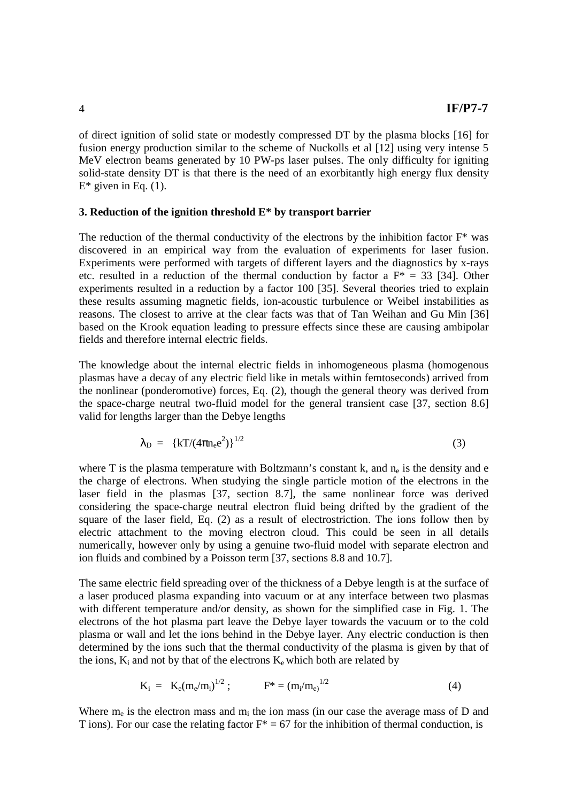of direct ignition of solid state or modestly compressed DT by the plasma blocks [16] for fusion energy production similar to the scheme of Nuckolls et al [12] using very intense 5 MeV electron beams generated by 10 PW-ps laser pulses. The only difficulty for igniting solid-state density DT is that there is the need of an exorbitantly high energy flux density  $E^*$  given in Eq. (1).

### **3. Reduction of the ignition threshold E\* by transport barrier**

The reduction of the thermal conductivity of the electrons by the inhibition factor  $F^*$  was discovered in an empirical way from the evaluation of experiments for laser fusion. Experiments were performed with targets of different layers and the diagnostics by x-rays etc. resulted in a reduction of the thermal conduction by factor a  $F^* = 33$  [34]. Other experiments resulted in a reduction by a factor 100 [35]. Several theories tried to explain these results assuming magnetic fields, ion-acoustic turbulence or Weibel instabilities as reasons. The closest to arrive at the clear facts was that of Tan Weihan and Gu Min [36] based on the Krook equation leading to pressure effects since these are causing ambipolar fields and therefore internal electric fields.

The knowledge about the internal electric fields in inhomogeneous plasma (homogenous plasmas have a decay of any electric field like in metals within femtoseconds) arrived from the nonlinear (ponderomotive) forces, Eq. (2), though the general theory was derived from the space-charge neutral two-fluid model for the general transient case [37, section 8.6] valid for lengths larger than the Debye lengths

$$
\lambda_{\rm D} = {\rm \{kT/(4\pi n_e e^2)\}}^{1/2}
$$
 (3)

where T is the plasma temperature with Boltzmann's constant  $k$ , and  $n_e$  is the density and e the charge of electrons. When studying the single particle motion of the electrons in the laser field in the plasmas [37, section 8.7], the same nonlinear force was derived considering the space-charge neutral electron fluid being drifted by the gradient of the square of the laser field, Eq. (2) as a result of electrostriction. The ions follow then by electric attachment to the moving electron cloud. This could be seen in all details numerically, however only by using a genuine two-fluid model with separate electron and ion fluids and combined by a Poisson term [37, sections 8.8 and 10.7].

The same electric field spreading over of the thickness of a Debye length is at the surface of a laser produced plasma expanding into vacuum or at any interface between two plasmas with different temperature and/or density, as shown for the simplified case in Fig. 1. The electrons of the hot plasma part leave the Debye layer towards the vacuum or to the cold plasma or wall and let the ions behind in the Debye layer. Any electric conduction is then determined by the ions such that the thermal conductivity of the plasma is given by that of the ions,  $K_i$  and not by that of the electrons  $K_e$  which both are related by

$$
K_i = K_e(m_e/m_i)^{1/2} ; \tF^* = (m_i/m_e)^{1/2}
$$
 (4)

Where  $m_e$  is the electron mass and  $m_i$  the ion mass (in our case the average mass of D and T ions). For our case the relating factor  $F^* = 67$  for the inhibition of thermal conduction, is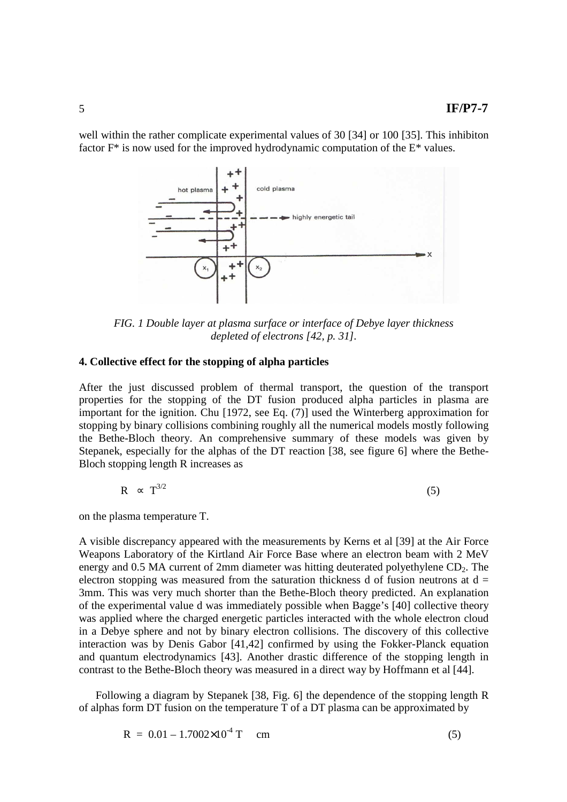well within the rather complicate experimental values of 30 [34] or 100 [35]. This inhibiton factor F\* is now used for the improved hydrodynamic computation of the E\* values.



*FIG. 1 Double layer at plasma surface or interface of Debye layer thickness depleted of electrons [42, p. 31].* 

### **4. Collective effect for the stopping of alpha particles**

After the just discussed problem of thermal transport, the question of the transport properties for the stopping of the DT fusion produced alpha particles in plasma are important for the ignition. Chu [1972, see Eq. (7)] used the Winterberg approximation for stopping by binary collisions combining roughly all the numerical models mostly following the Bethe-Bloch theory. An comprehensive summary of these models was given by Stepanek, especially for the alphas of the DT reaction [38, see figure 6] where the Bethe-Bloch stopping length R increases as

$$
R \sim T^{3/2} \tag{5}
$$

on the plasma temperature T.

A visible discrepancy appeared with the measurements by Kerns et al [39] at the Air Force Weapons Laboratory of the Kirtland Air Force Base where an electron beam with 2 MeV energy and  $0.5$  MA current of 2mm diameter was hitting deuterated polyethylene  $CD<sub>2</sub>$ . The electron stopping was measured from the saturation thickness d of fusion neutrons at  $d =$ 3mm. This was very much shorter than the Bethe-Bloch theory predicted. An explanation of the experimental value d was immediately possible when Bagge's [40] collective theory was applied where the charged energetic particles interacted with the whole electron cloud in a Debye sphere and not by binary electron collisions. The discovery of this collective interaction was by Denis Gabor [41,42] confirmed by using the Fokker-Planck equation and quantum electrodynamics [43]. Another drastic difference of the stopping length in contrast to the Bethe-Bloch theory was measured in a direct way by Hoffmann et al [44].

 Following a diagram by Stepanek [38, Fig. 6] the dependence of the stopping length R of alphas form DT fusion on the temperature T of a DT plasma can be approximated by

$$
R = 0.01 - 1.7002 \times 10^4 \text{ T} \quad \text{cm} \tag{5}
$$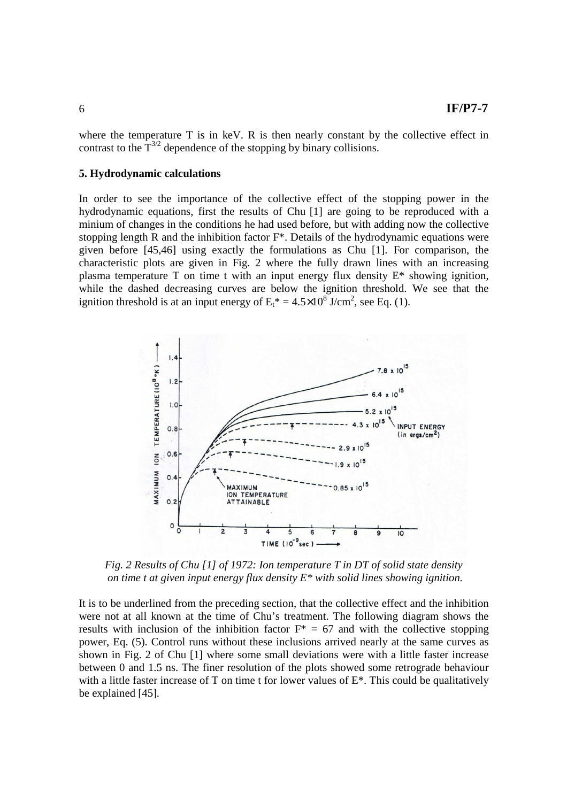where the temperature T is in keV. R is then nearly constant by the collective effect in contrast to the  $T^{3/2}$  dependence of the stopping by binary collisions.

### **5. Hydrodynamic calculations**

In order to see the importance of the collective effect of the stopping power in the hydrodynamic equations, first the results of Chu [1] are going to be reproduced with a minium of changes in the conditions he had used before, but with adding now the collective stopping length R and the inhibition factor  $F^*$ . Details of the hydrodynamic equations were given before [45,46] using exactly the formulations as Chu [1]. For comparison, the characteristic plots are given in Fig. 2 where the fully drawn lines with an increasing plasma temperature T on time t with an input energy flux density E\* showing ignition, while the dashed decreasing curves are below the ignition threshold. We see that the ignition threshold is at an input energy of  $E_t^* = 4.5 \times 10^8$  J/cm<sup>2</sup>, see Eq. (1).



*Fig. 2 Results of Chu [1] of 1972: Ion temperature T in DT of solid state density on time t at given input energy flux density E\* with solid lines showing ignition.* 

It is to be underlined from the preceding section, that the collective effect and the inhibition were not at all known at the time of Chu's treatment. The following diagram shows the results with inclusion of the inhibition factor  $F^* = 67$  and with the collective stopping power, Eq. (5). Control runs without these inclusions arrived nearly at the same curves as shown in Fig. 2 of Chu [1] where some small deviations were with a little faster increase between 0 and 1.5 ns. The finer resolution of the plots showed some retrograde behaviour with a little faster increase of T on time t for lower values of  $E^*$ . This could be qualitatively be explained [45].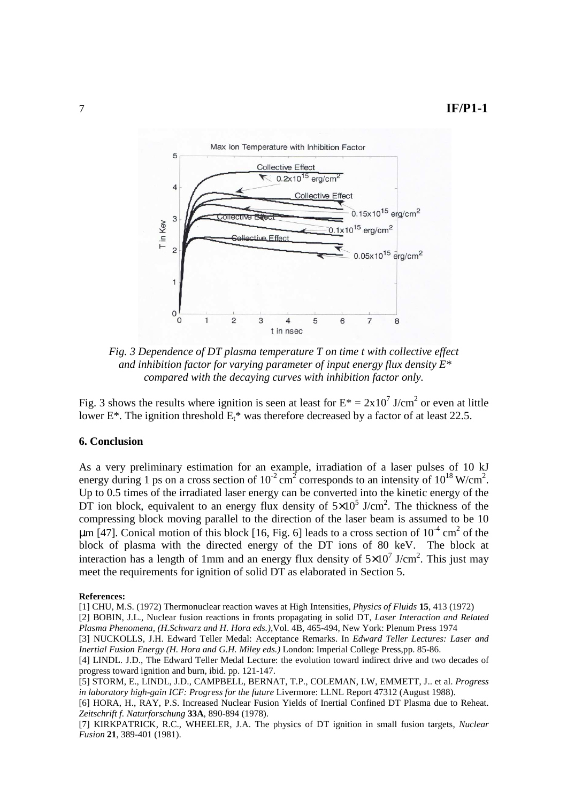

*Fig. 3 Dependence of DT plasma temperature T on time t with collective effect and inhibition factor for varying parameter of input energy flux density E\* compared with the decaying curves with inhibition factor only.* 

Fig. 3 shows the results where ignition is seen at least for  $E^* = 2x10^7$  J/cm<sup>2</sup> or even at little lower E<sup>\*</sup>. The ignition threshold  $E_t^*$  was therefore decreased by a factor of at least 22.5.

## **6. Conclusion**

As a very preliminary estimation for an example, irradiation of a laser pulses of 10 kJ energy during 1 ps on a cross section of  $10^{-2}$  cm<sup>2</sup> corresponds to an intensity of  $10^{18}$  W/cm<sup>2</sup>. Up to 0.5 times of the irradiated laser energy can be converted into the kinetic energy of the DT ion block, equivalent to an energy flux density of  $5\times10^5$  J/cm<sup>2</sup>. The thickness of the compressing block moving parallel to the direction of the laser beam is assumed to be 10  $\mu$ m [47]. Conical motion of this block [16, Fig. 6] leads to a cross section of 10<sup>-4</sup> cm<sup>2</sup> of the block of plasma with the directed energy of the DT ions of 80 keV. The block at interaction has a length of 1mm and an energy flux density of  $5\times10^7$  J/cm<sup>2</sup>. This just may meet the requirements for ignition of solid DT as elaborated in Section 5.

#### **References:**

[1] CHU, M.S. (1972) Thermonuclear reaction waves at High Intensities, *Physics of Fluids* **15**, 413 (1972)

<sup>[2]</sup> BOBIN, J.L., Nuclear fusion reactions in fronts propagating in solid DT, *Laser Interaction and Related Plasma Phenomena, (H.Schwarz and H. Hora eds.),*Vol. 4B, 465-494, New York: Plenum Press 1974

<sup>[3]</sup> NUCKOLLS, J.H. Edward Teller Medal: Acceptance Remarks. In *Edward Teller Lectures: Laser and Inertial Fusion Energy (H. Hora and G.H. Miley eds.)* London: Imperial College Press,pp. 85-86.

<sup>[4]</sup> LINDL. J.D., The Edward Teller Medal Lecture: the evolution toward indirect drive and two decades of progress toward ignition and burn, ibid. pp. 121-147.

<sup>[5]</sup> STORM, E., LINDL, J.D., CAMPBELL, BERNAT, T.P., COLEMAN, I.W, EMMETT, J.. et al. *Progress in laboratory high-gain ICF: Progress for the future* Livermore: LLNL Report 47312 (August 1988).

<sup>[6]</sup> HORA, H., RAY, P.S. Increased Nuclear Fusion Yields of Inertial Confined DT Plasma due to Reheat. *Zeitschrift f. Naturforschung* **33A**, 890-894 (1978).

<sup>[7]</sup> KIRKPATRICK, R.C., WHEELER, J.A. The physics of DT ignition in small fusion targets, *Nuclear Fusion* **21**, 389-401 (1981).